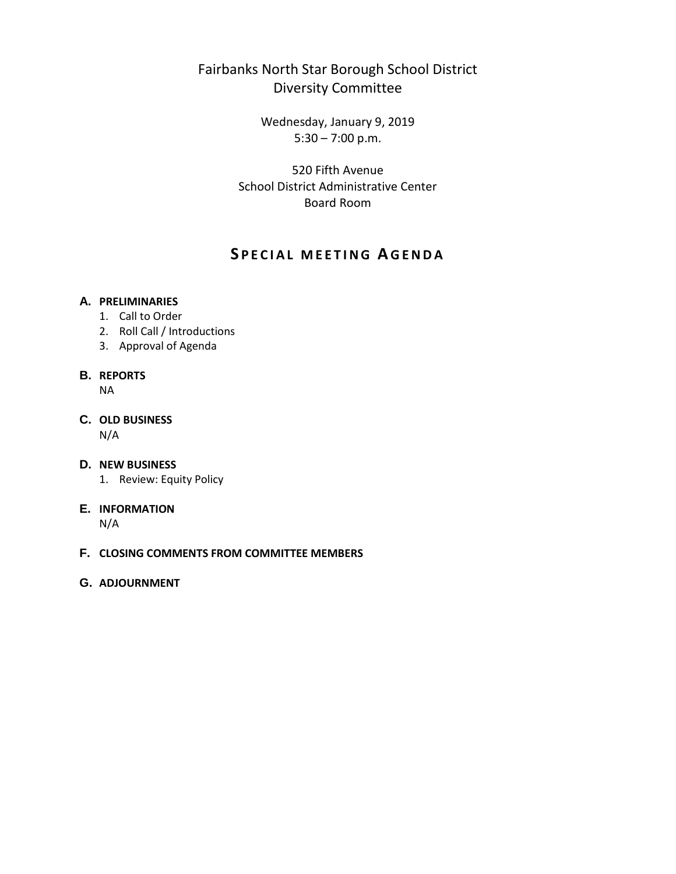## Fairbanks North Star Borough School District Diversity Committee

Wednesday, January 9, 2019 5:30 – 7:00 p.m.

520 Fifth Avenue School District Administrative Center Board Room

## **S PECIAL MEETING A GENDA**

#### **A. PRELIMINARIES**

- 1. Call to Order
- 2. Roll Call / Introductions
- 3. Approval of Agenda

## **B. REPORTS**

NA

# **C. OLD BUSINESS**

N/A

#### **D. NEW BUSINESS**

1. Review: Equity Policy

#### **E. INFORMATION**

N/A

#### **F. CLOSING COMMENTS FROM COMMITTEE MEMBERS**

#### **G. ADJOURNMENT**